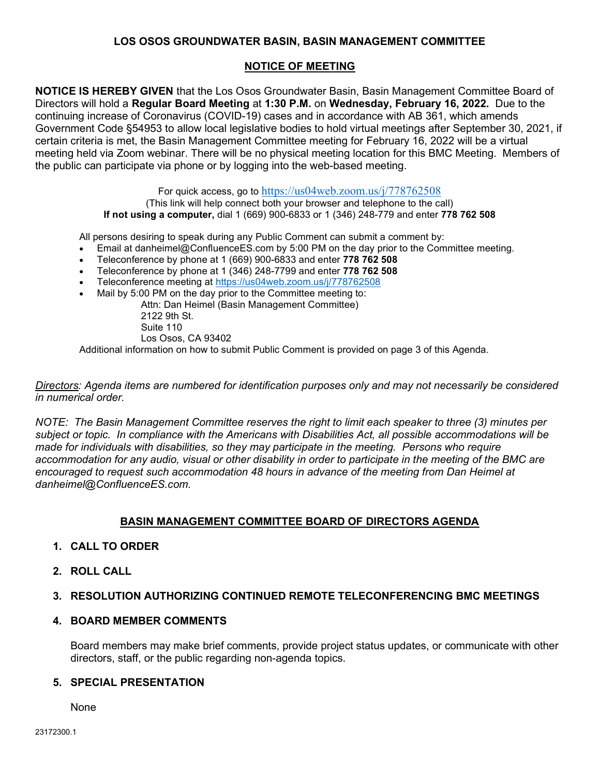### LOS OSOS GROUNDWATER BASIN, BASIN MANAGEMENT COMMITTEE

# NOTICE OF MEETING

NOTICE IS HEREBY GIVEN that the Los Osos Groundwater Basin, Basin Management Committee Board of Directors will hold a Regular Board Meeting at 1:30 P.M. on Wednesday, February 16, 2022. Due to the continuing increase of Coronavirus (COVID-19) cases and in accordance with AB 361, which amends Government Code §54953 to allow local legislative bodies to hold virtual meetings after September 30, 2021, if certain criteria is met, the Basin Management Committee meeting for February 16, 2022 will be a virtual meeting held via Zoom webinar. There will be no physical meeting location for this BMC Meeting. Members of the public can participate via phone or by logging into the web-based meeting.

> For quick access, go to https://us04web.zoom.us/j/778762508 (This link will help connect both your browser and telephone to the call) If not using a computer, dial 1 (669) 900-6833 or 1 (346) 248-779 and enter 778 762 508

All persons desiring to speak during any Public Comment can submit a comment by:

- Email at danheimel@ConfluenceES.com by 5:00 PM on the day prior to the Committee meeting.
- Teleconference by phone at 1 (669) 900-6833 and enter 778 762 508
- Teleconference by phone at 1 (346) 248-7799 and enter 778 762 508
- Teleconference meeting at https://us04web.zoom.us/j/778762508
- Mail by 5:00 PM on the day prior to the Committee meeting to:
	- Attn: Dan Heimel (Basin Management Committee) 2122 9th St.
		- Suite 110
		- Los Osos, CA 93402

Additional information on how to submit Public Comment is provided on page 3 of this Agenda.

Directors: Agenda items are numbered for identification purposes only and may not necessarily be considered in numerical order.

NOTE: The Basin Management Committee reserves the right to limit each speaker to three (3) minutes per subject or topic. In compliance with the Americans with Disabilities Act, all possible accommodations will be made for individuals with disabilities, so they may participate in the meeting. Persons who require accommodation for any audio, visual or other disability in order to participate in the meeting of the BMC are encouraged to request such accommodation 48 hours in advance of the meeting from Dan Heimel at danheimel@ConfluenceES.com.

# BASIN MANAGEMENT COMMITTEE BOARD OF DIRECTORS AGENDA

#### 1. CALL TO ORDER

2. ROLL CALL

#### 3. RESOLUTION AUTHORIZING CONTINUED REMOTE TELECONFERENCING BMC MEETINGS

#### 4. BOARD MEMBER COMMENTS

Board members may make brief comments, provide project status updates, or communicate with other directors, staff, or the public regarding non-agenda topics.

#### 5. SPECIAL PRESENTATION

None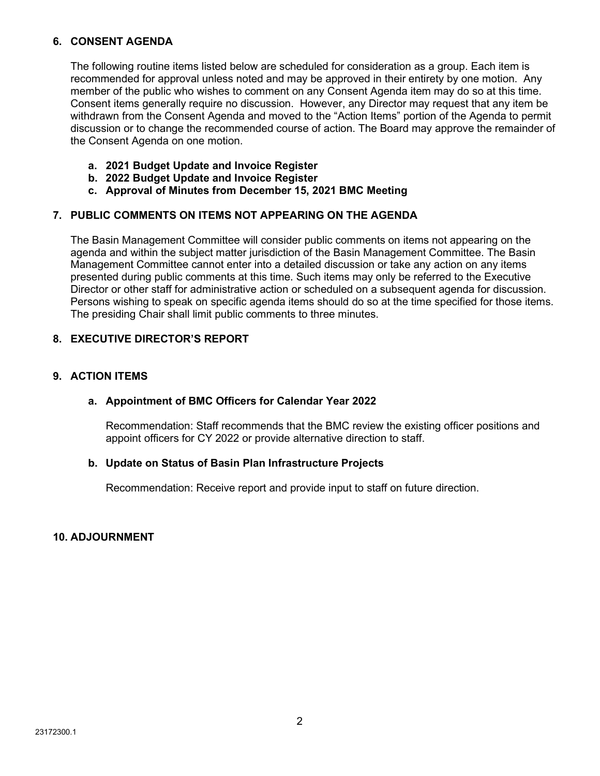### 6. CONSENT AGENDA

The following routine items listed below are scheduled for consideration as a group. Each item is recommended for approval unless noted and may be approved in their entirety by one motion. Any member of the public who wishes to comment on any Consent Agenda item may do so at this time. Consent items generally require no discussion. However, any Director may request that any item be withdrawn from the Consent Agenda and moved to the "Action Items" portion of the Agenda to permit discussion or to change the recommended course of action. The Board may approve the remainder of the Consent Agenda on one motion.

- a. 2021 Budget Update and Invoice Register
- b. 2022 Budget Update and Invoice Register
- c. Approval of Minutes from December 15, 2021 BMC Meeting

# 7. PUBLIC COMMENTS ON ITEMS NOT APPEARING ON THE AGENDA

The Basin Management Committee will consider public comments on items not appearing on the agenda and within the subject matter jurisdiction of the Basin Management Committee. The Basin Management Committee cannot enter into a detailed discussion or take any action on any items presented during public comments at this time. Such items may only be referred to the Executive Director or other staff for administrative action or scheduled on a subsequent agenda for discussion. Persons wishing to speak on specific agenda items should do so at the time specified for those items. The presiding Chair shall limit public comments to three minutes.

# 8. EXECUTIVE DIRECTOR'S REPORT

# 9. ACTION ITEMS

### a. Appointment of BMC Officers for Calendar Year 2022

Recommendation: Staff recommends that the BMC review the existing officer positions and appoint officers for CY 2022 or provide alternative direction to staff.

### b. Update on Status of Basin Plan Infrastructure Projects

Recommendation: Receive report and provide input to staff on future direction.

### 10. ADJOURNMENT